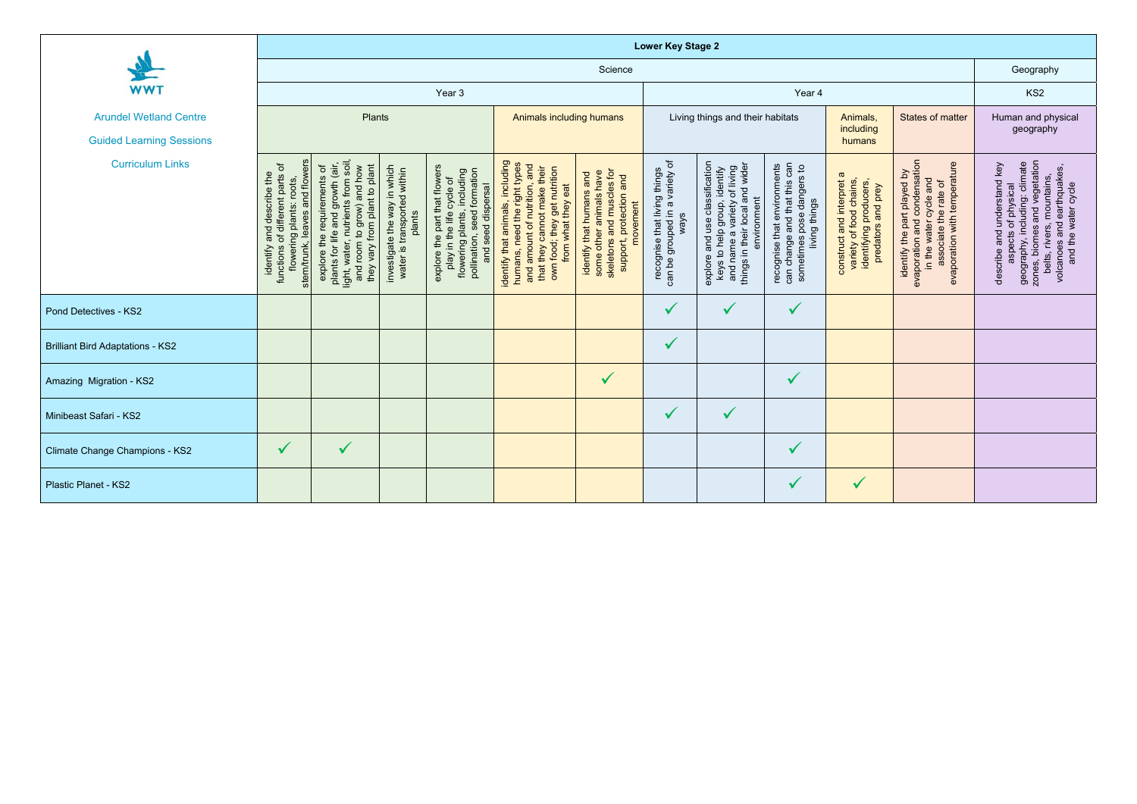|                                         | <b>Lower Key Stage 2</b>                                                                                                                              |                                                                                                                                                                     |                                                                       |                                                                                                                                                |                                                                                                                                                                                          |                                                                                                                         |                                                                        |                                                                                                                                                       |                                                                                                              |                                                                                                            |                                                                                                                                                |                                                                                                                                                                                                       |
|-----------------------------------------|-------------------------------------------------------------------------------------------------------------------------------------------------------|---------------------------------------------------------------------------------------------------------------------------------------------------------------------|-----------------------------------------------------------------------|------------------------------------------------------------------------------------------------------------------------------------------------|------------------------------------------------------------------------------------------------------------------------------------------------------------------------------------------|-------------------------------------------------------------------------------------------------------------------------|------------------------------------------------------------------------|-------------------------------------------------------------------------------------------------------------------------------------------------------|--------------------------------------------------------------------------------------------------------------|------------------------------------------------------------------------------------------------------------|------------------------------------------------------------------------------------------------------------------------------------------------|-------------------------------------------------------------------------------------------------------------------------------------------------------------------------------------------------------|
|                                         | Science                                                                                                                                               |                                                                                                                                                                     |                                                                       |                                                                                                                                                |                                                                                                                                                                                          |                                                                                                                         |                                                                        |                                                                                                                                                       |                                                                                                              |                                                                                                            | Geography                                                                                                                                      |                                                                                                                                                                                                       |
| <b>WWT</b>                              | Year 3                                                                                                                                                |                                                                                                                                                                     |                                                                       |                                                                                                                                                |                                                                                                                                                                                          |                                                                                                                         | Year 4                                                                 |                                                                                                                                                       |                                                                                                              |                                                                                                            |                                                                                                                                                | KS <sub>2</sub>                                                                                                                                                                                       |
| <b>Arundel Wetland Centre</b>           | Plants                                                                                                                                                |                                                                                                                                                                     |                                                                       |                                                                                                                                                | Animals including humans                                                                                                                                                                 |                                                                                                                         | Living things and their habitats                                       |                                                                                                                                                       |                                                                                                              | Animals,                                                                                                   | States of matter                                                                                                                               | Human and physical                                                                                                                                                                                    |
| <b>Guided Learning Sessions</b>         |                                                                                                                                                       |                                                                                                                                                                     |                                                                       |                                                                                                                                                |                                                                                                                                                                                          |                                                                                                                         |                                                                        |                                                                                                                                                       | including<br>humans                                                                                          |                                                                                                            | geography                                                                                                                                      |                                                                                                                                                                                                       |
| <b>Curriculum Links</b>                 | stem/trunk, leaves and flowers<br>of different parts of<br>ng plants: roots,<br>identify and describe the<br>functions of d<br>flowering <sub>I</sub> | light, water, nutrients from soil,<br>explore the requirements of<br>plants for life and growth (air,<br>and room to grow) and how<br>they vary from plant to plant | investigate the way in which<br>water is transported within<br>plants | explore the part that flowers<br>play in the life cycle of<br>flowering plants, including<br>pollination, seed formation<br>and seed dispersal | identify that animals, including<br>humans, need the right types<br>and<br>that they cannot make their<br>own food; they get nutrition<br>from what they eat<br>and amount of nutrition, | skeletons and muscles for<br>support, protection and<br>some other animals have<br>identify that humans and<br>movement | can be grouped in a variety of<br>recognise that living things<br>ways | and use classification<br>and name a variety of living<br>and wide<br>keys to help group, identify<br>environment<br>things in their local<br>explore | can change and that this can<br>recognise that environments<br>pose dangers to<br>living things<br>sometimes | ā<br>variety of food chains,<br>identifying producers,<br>construct and interpret<br>and prey<br>predators | evaporation and condensation<br>evaporation with temperature<br>identify the part played by<br>in the water cycle and<br>associate the rate of | zones, biomes and vegetation<br>belts, rivers, mountains,<br>volcanoes and earthquakes,<br>and the water cycle<br>describe and understand key<br>aspects of physical<br>geography, including: climate |
| Pond Detectives - KS2                   |                                                                                                                                                       |                                                                                                                                                                     |                                                                       |                                                                                                                                                |                                                                                                                                                                                          |                                                                                                                         | $\checkmark$                                                           | $\checkmark$                                                                                                                                          | $\checkmark$                                                                                                 |                                                                                                            |                                                                                                                                                |                                                                                                                                                                                                       |
| <b>Brilliant Bird Adaptations - KS2</b> |                                                                                                                                                       |                                                                                                                                                                     |                                                                       |                                                                                                                                                |                                                                                                                                                                                          |                                                                                                                         | $\checkmark$                                                           |                                                                                                                                                       |                                                                                                              |                                                                                                            |                                                                                                                                                |                                                                                                                                                                                                       |
| Amazing Migration - KS2                 |                                                                                                                                                       |                                                                                                                                                                     |                                                                       |                                                                                                                                                |                                                                                                                                                                                          | $\checkmark$                                                                                                            |                                                                        |                                                                                                                                                       | $\checkmark$                                                                                                 |                                                                                                            |                                                                                                                                                |                                                                                                                                                                                                       |
| Minibeast Safari - KS2                  |                                                                                                                                                       |                                                                                                                                                                     |                                                                       |                                                                                                                                                |                                                                                                                                                                                          |                                                                                                                         | $\checkmark$                                                           | $\checkmark$                                                                                                                                          |                                                                                                              |                                                                                                            |                                                                                                                                                |                                                                                                                                                                                                       |
| <b>Climate Change Champions - KS2</b>   | $\sqrt{}$                                                                                                                                             | $\checkmark$                                                                                                                                                        |                                                                       |                                                                                                                                                |                                                                                                                                                                                          |                                                                                                                         |                                                                        |                                                                                                                                                       | $\checkmark$                                                                                                 |                                                                                                            |                                                                                                                                                |                                                                                                                                                                                                       |
| <b>Plastic Planet - KS2</b>             |                                                                                                                                                       |                                                                                                                                                                     |                                                                       |                                                                                                                                                |                                                                                                                                                                                          |                                                                                                                         |                                                                        |                                                                                                                                                       | $\checkmark$                                                                                                 | $\checkmark$                                                                                               |                                                                                                                                                |                                                                                                                                                                                                       |